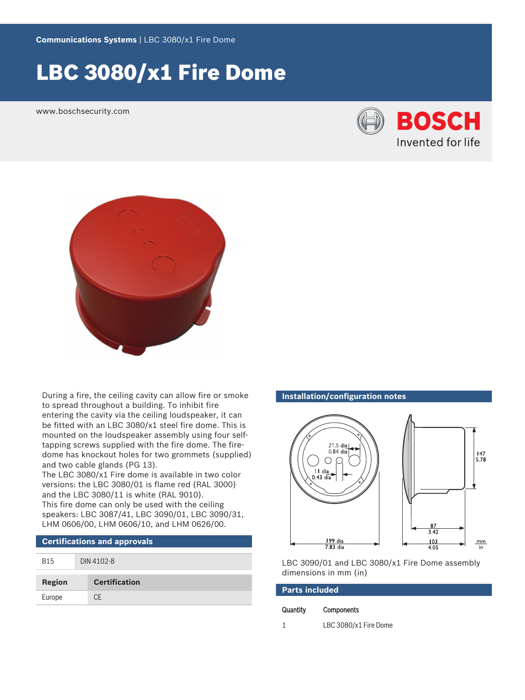# LBC 3080/x1 Fire Dome

www.boschsecurity.com





During a fire, the ceiling cavity can allow fire or smoke to spread throughout a building. To inhibit fire entering the cavity via the ceiling loudspeaker, it can be fitted with an LBC 3080/x1 steel fire dome. This is mounted on the loudspeaker assembly using four selftapping screws supplied with the fire dome. The firedome has knockout holes for two grommets (supplied) and two cable glands (PG 13).

The LBC 3080/x1 Fire dome is available in two color versions: the LBC 3080/01 is flame red (RAL 3000) and the LBC 3080/11 is white (RAL 9010). This fire dome can only be used with the ceiling speakers: LBC 3087/41, LBC 3090/01, LBC 3090/31, LHM 0606/00, LHM 0606/10, and LHM 0626/00.

# **Certifications and approvals**

| <b>B15</b> | DIN 4102-8           |
|------------|----------------------|
| Region     | <b>Certification</b> |
| Europe     | <b>CE</b>            |

#### **Installation/configuration notes**



LBC 3090/01 and LBC 3080/x1 Fire Dome assembly dimensions in mm (in)

| <b>Parts included</b> |                       |  |
|-----------------------|-----------------------|--|
| Quantity              | <b>Components</b>     |  |
|                       | LBC 3080/x1 Fire Dome |  |